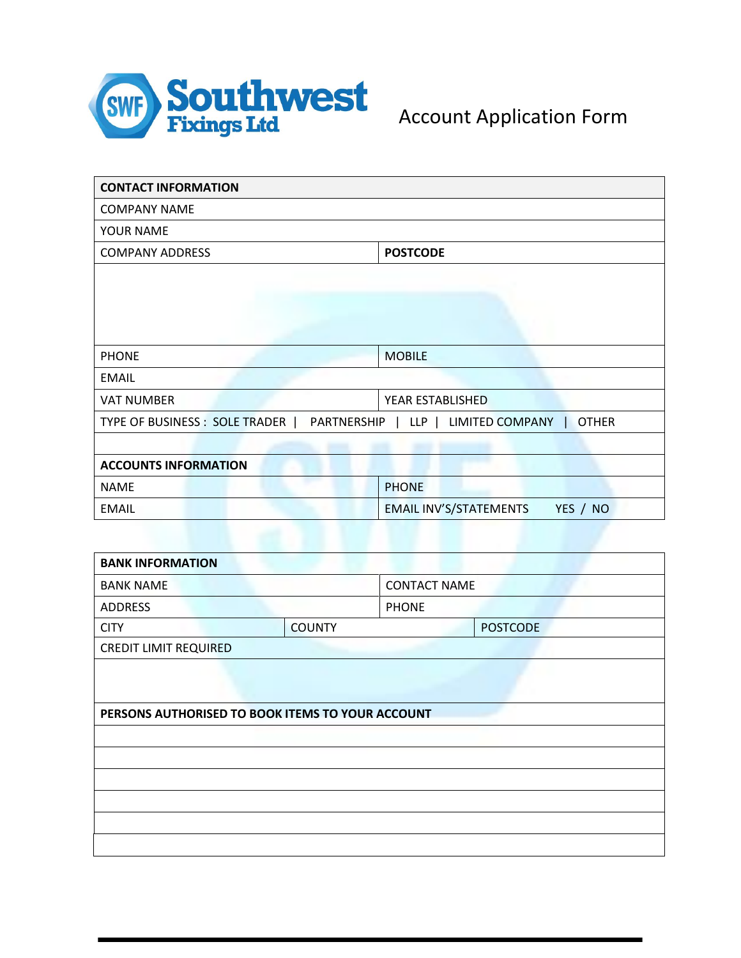

| <b>CONTACT INFORMATION</b>     |                                                       |
|--------------------------------|-------------------------------------------------------|
| <b>COMPANY NAME</b>            |                                                       |
| YOUR NAME                      |                                                       |
| <b>COMPANY ADDRESS</b>         | <b>POSTCODE</b>                                       |
|                                |                                                       |
|                                |                                                       |
|                                |                                                       |
|                                |                                                       |
| <b>PHONE</b>                   | <b>MOBILE</b>                                         |
| <b>EMAIL</b>                   |                                                       |
| <b>VAT NUMBER</b>              | YEAR ESTABLISHED                                      |
| TYPE OF BUSINESS : SOLE TRADER | PARTNERSHIP   LLP   LIMITED COMPANY  <br><b>OTHER</b> |
|                                |                                                       |
| <b>ACCOUNTS INFORMATION</b>    |                                                       |
| <b>NAME</b>                    | <b>PHONE</b>                                          |
| <b>EMAIL</b>                   | <b>EMAIL INV'S/STATEMENTS</b><br>YES / NO             |

| <b>BANK INFORMATION</b>                          |               |                     |                 |
|--------------------------------------------------|---------------|---------------------|-----------------|
| <b>BANK NAME</b>                                 |               | <b>CONTACT NAME</b> |                 |
| <b>ADDRESS</b>                                   |               | <b>PHONE</b>        |                 |
| <b>CITY</b>                                      | <b>COUNTY</b> |                     | <b>POSTCODE</b> |
| <b>CREDIT LIMIT REQUIRED</b>                     |               |                     |                 |
|                                                  |               |                     |                 |
|                                                  |               |                     |                 |
| PERSONS AUTHORISED TO BOOK ITEMS TO YOUR ACCOUNT |               |                     |                 |
|                                                  |               |                     |                 |
|                                                  |               |                     |                 |
|                                                  |               |                     |                 |
|                                                  |               |                     |                 |
|                                                  |               |                     |                 |
|                                                  |               |                     |                 |
|                                                  |               |                     |                 |